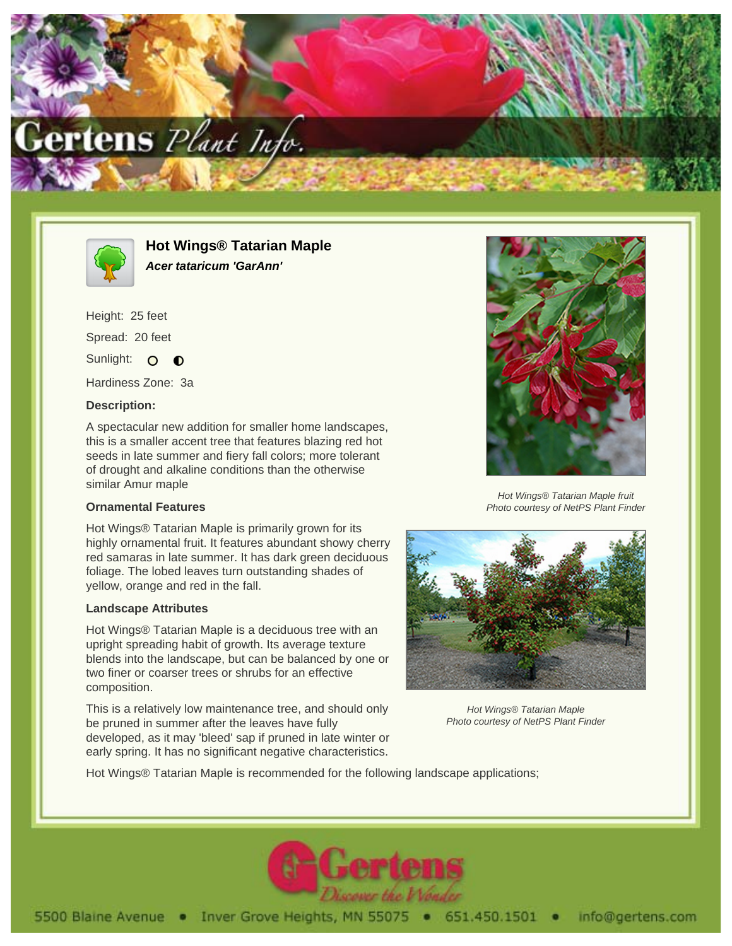



**Hot Wings® Tatarian Maple Acer tataricum 'GarAnn'**

Height: 25 feet Spread: 20 feet Sunlight: O  $\bullet$ 

Hardiness Zone: 3a

### **Description:**

A spectacular new addition for smaller home landscapes, this is a smaller accent tree that features blazing red hot seeds in late summer and fiery fall colors; more tolerant of drought and alkaline conditions than the otherwise similar Amur maple

#### **Ornamental Features**

Hot Wings® Tatarian Maple is primarily grown for its highly ornamental fruit. It features abundant showy cherry red samaras in late summer. It has dark green deciduous foliage. The lobed leaves turn outstanding shades of yellow, orange and red in the fall.

#### **Landscape Attributes**

Hot Wings® Tatarian Maple is a deciduous tree with an upright spreading habit of growth. Its average texture blends into the landscape, but can be balanced by one or two finer or coarser trees or shrubs for an effective composition.

This is a relatively low maintenance tree, and should only be pruned in summer after the leaves have fully developed, as it may 'bleed' sap if pruned in late winter or early spring. It has no significant negative characteristics.



Hot Wings® Tatarian Maple fruit Photo courtesy of NetPS Plant Finder



Hot Wings® Tatarian Maple Photo courtesy of NetPS Plant Finder

Hot Wings® Tatarian Maple is recommended for the following landscape applications;